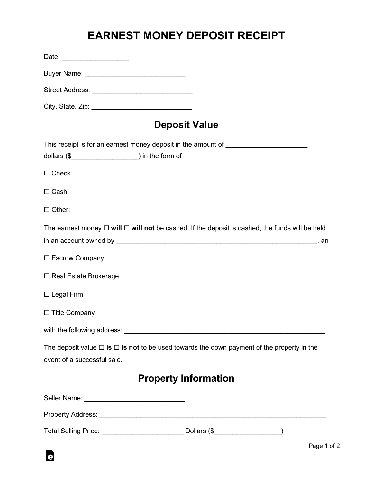## **EARNEST MONEY DEPOSIT RECEIPT**

| Date: ____________________                                                        |                                                                                                           |
|-----------------------------------------------------------------------------------|-----------------------------------------------------------------------------------------------------------|
| Buyer Name: _______________________________                                       |                                                                                                           |
| Street Address: ________________________________                                  |                                                                                                           |
|                                                                                   |                                                                                                           |
|                                                                                   | <b>Deposit Value</b>                                                                                      |
|                                                                                   | This receipt is for an earnest money deposit in the amount of __________________                          |
|                                                                                   |                                                                                                           |
| $\Box$ Check                                                                      |                                                                                                           |
| $\Box$ Cash                                                                       |                                                                                                           |
| □ Other: _________________________                                                |                                                                                                           |
|                                                                                   | The earnest money $\Box$ will $\Box$ will not be cashed. If the deposit is cashed, the funds will be held |
|                                                                                   |                                                                                                           |
| □ Escrow Company                                                                  |                                                                                                           |
| □ Real Estate Brokerage                                                           |                                                                                                           |
| $\Box$ Legal Firm                                                                 |                                                                                                           |
| □ Title Company                                                                   |                                                                                                           |
|                                                                                   |                                                                                                           |
| event of a successful sale.                                                       | The deposit value $\Box$ is $\Box$ is not to be used towards the down payment of the property in the      |
|                                                                                   | <b>Property Information</b>                                                                               |
| Seller Name: __________________________________                                   |                                                                                                           |
|                                                                                   |                                                                                                           |
| Total Selling Price: __________________________________ Dollars (\$______________ |                                                                                                           |

à